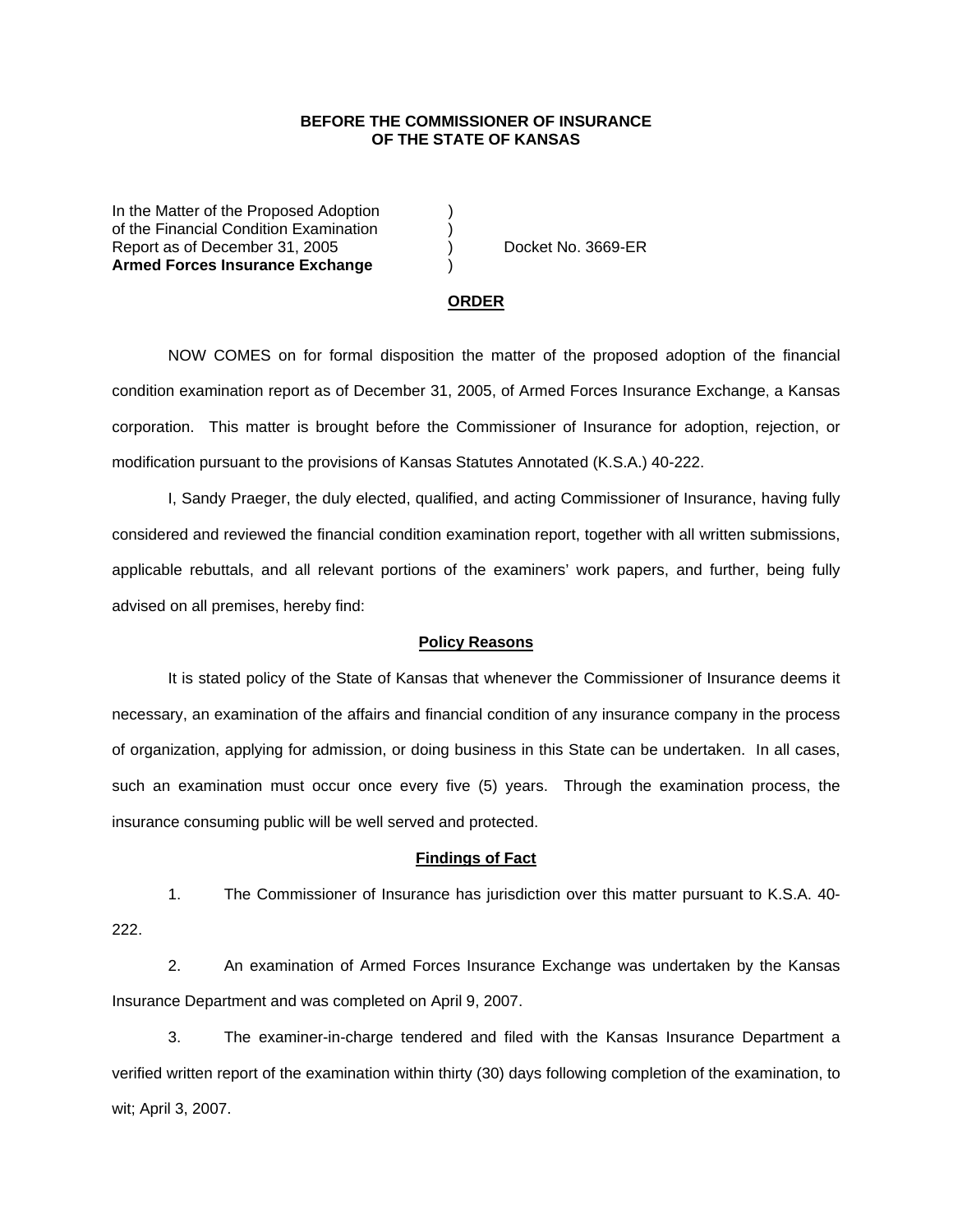## **BEFORE THE COMMISSIONER OF INSURANCE OF THE STATE OF KANSAS**

In the Matter of the Proposed Adoption of the Financial Condition Examination ) Report as of December 31, 2005 (and Contact Area Docket No. 3669-ER **Armed Forces Insurance Exchange** )

#### **ORDER**

 NOW COMES on for formal disposition the matter of the proposed adoption of the financial condition examination report as of December 31, 2005, of Armed Forces Insurance Exchange, a Kansas corporation. This matter is brought before the Commissioner of Insurance for adoption, rejection, or modification pursuant to the provisions of Kansas Statutes Annotated (K.S.A.) 40-222.

 I, Sandy Praeger, the duly elected, qualified, and acting Commissioner of Insurance, having fully considered and reviewed the financial condition examination report, together with all written submissions, applicable rebuttals, and all relevant portions of the examiners' work papers, and further, being fully advised on all premises, hereby find:

### **Policy Reasons**

 It is stated policy of the State of Kansas that whenever the Commissioner of Insurance deems it necessary, an examination of the affairs and financial condition of any insurance company in the process of organization, applying for admission, or doing business in this State can be undertaken. In all cases, such an examination must occur once every five (5) years. Through the examination process, the insurance consuming public will be well served and protected.

#### **Findings of Fact**

 1. The Commissioner of Insurance has jurisdiction over this matter pursuant to K.S.A. 40- 222.

 2. An examination of Armed Forces Insurance Exchange was undertaken by the Kansas Insurance Department and was completed on April 9, 2007.

 3. The examiner-in-charge tendered and filed with the Kansas Insurance Department a verified written report of the examination within thirty (30) days following completion of the examination, to wit; April 3, 2007.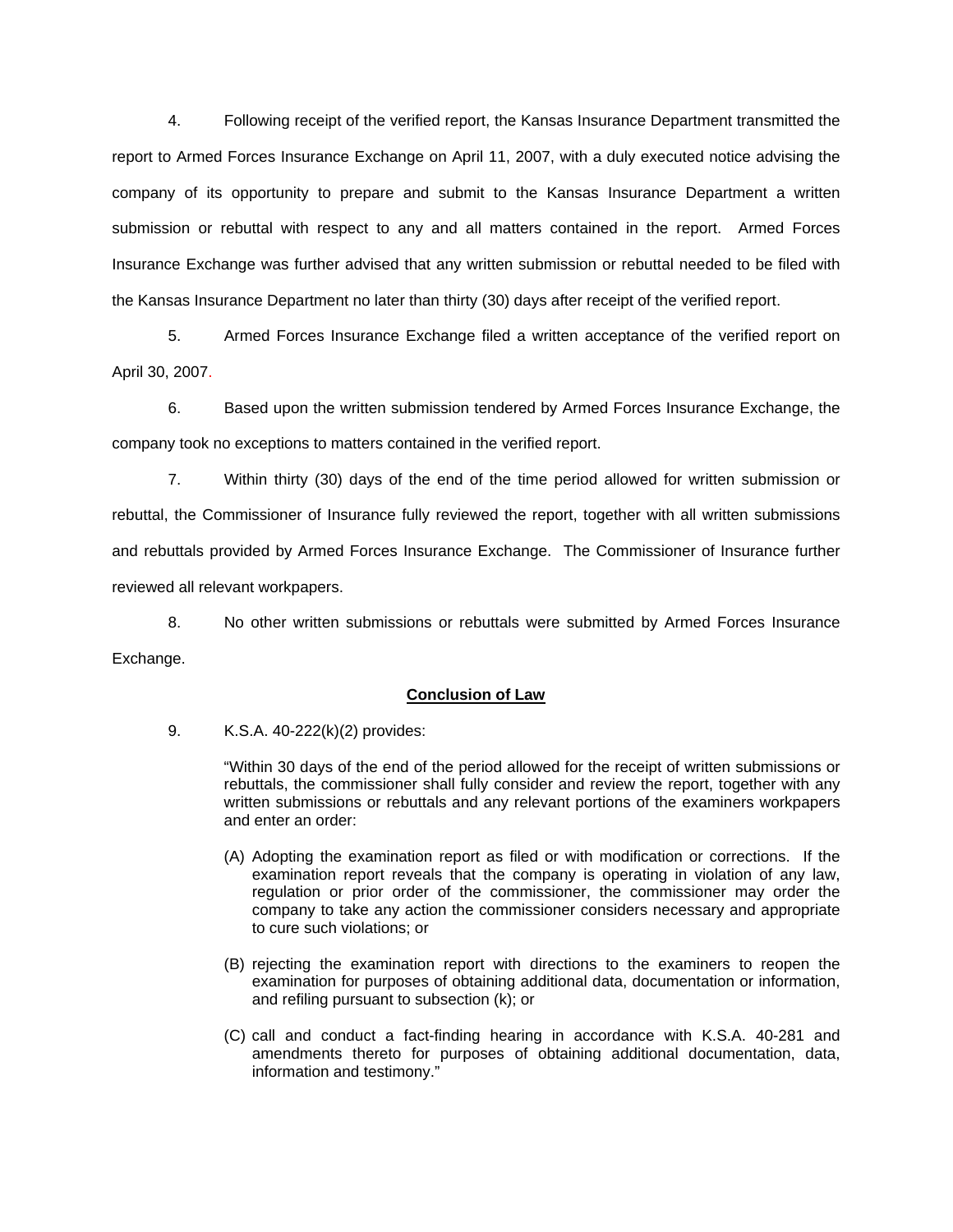4. Following receipt of the verified report, the Kansas Insurance Department transmitted the report to Armed Forces Insurance Exchange on April 11, 2007, with a duly executed notice advising the company of its opportunity to prepare and submit to the Kansas Insurance Department a written submission or rebuttal with respect to any and all matters contained in the report. Armed Forces Insurance Exchange was further advised that any written submission or rebuttal needed to be filed with the Kansas Insurance Department no later than thirty (30) days after receipt of the verified report.

 5. Armed Forces Insurance Exchange filed a written acceptance of the verified report on April 30, 2007.

6. Based upon the written submission tendered by Armed Forces Insurance Exchange, the company took no exceptions to matters contained in the verified report.

 7. Within thirty (30) days of the end of the time period allowed for written submission or rebuttal, the Commissioner of Insurance fully reviewed the report, together with all written submissions and rebuttals provided by Armed Forces Insurance Exchange. The Commissioner of Insurance further reviewed all relevant workpapers.

 8. No other written submissions or rebuttals were submitted by Armed Forces Insurance Exchange.

## **Conclusion of Law**

9. K.S.A. 40-222(k)(2) provides:

"Within 30 days of the end of the period allowed for the receipt of written submissions or rebuttals, the commissioner shall fully consider and review the report, together with any written submissions or rebuttals and any relevant portions of the examiners workpapers and enter an order:

- (A) Adopting the examination report as filed or with modification or corrections. If the examination report reveals that the company is operating in violation of any law, regulation or prior order of the commissioner, the commissioner may order the company to take any action the commissioner considers necessary and appropriate to cure such violations; or
- (B) rejecting the examination report with directions to the examiners to reopen the examination for purposes of obtaining additional data, documentation or information, and refiling pursuant to subsection (k); or
- (C) call and conduct a fact-finding hearing in accordance with K.S.A. 40-281 and amendments thereto for purposes of obtaining additional documentation, data, information and testimony."